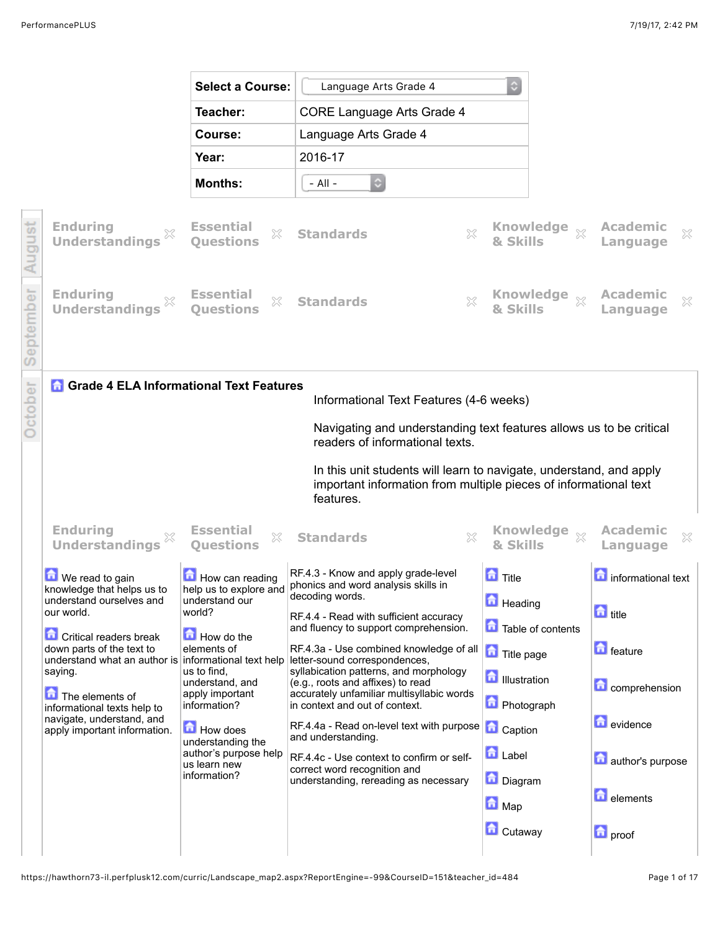|                       |                                                                                                                                                                                                                                                                                                                         | <b>Select a Course:</b>                                                                                                                                                                                         | Language Arts Grade 4                                                                                                                                                                                                                                                                                                                                                                                                                                                                         | ٥                                                                                                                                           |                                                                                              |
|-----------------------|-------------------------------------------------------------------------------------------------------------------------------------------------------------------------------------------------------------------------------------------------------------------------------------------------------------------------|-----------------------------------------------------------------------------------------------------------------------------------------------------------------------------------------------------------------|-----------------------------------------------------------------------------------------------------------------------------------------------------------------------------------------------------------------------------------------------------------------------------------------------------------------------------------------------------------------------------------------------------------------------------------------------------------------------------------------------|---------------------------------------------------------------------------------------------------------------------------------------------|----------------------------------------------------------------------------------------------|
|                       |                                                                                                                                                                                                                                                                                                                         | Teacher:                                                                                                                                                                                                        | <b>CORE Language Arts Grade 4</b>                                                                                                                                                                                                                                                                                                                                                                                                                                                             |                                                                                                                                             |                                                                                              |
|                       |                                                                                                                                                                                                                                                                                                                         | Course:                                                                                                                                                                                                         | Language Arts Grade 4                                                                                                                                                                                                                                                                                                                                                                                                                                                                         |                                                                                                                                             |                                                                                              |
|                       |                                                                                                                                                                                                                                                                                                                         | Year:                                                                                                                                                                                                           | 2016-17                                                                                                                                                                                                                                                                                                                                                                                                                                                                                       |                                                                                                                                             |                                                                                              |
|                       |                                                                                                                                                                                                                                                                                                                         | <b>Months:</b>                                                                                                                                                                                                  | $\circ$<br>$-$ All $-$                                                                                                                                                                                                                                                                                                                                                                                                                                                                        |                                                                                                                                             |                                                                                              |
|                       | <b>Enduring</b><br><b>Understandings</b>                                                                                                                                                                                                                                                                                | <b>Essential</b><br>X<br><b>Ouestions</b>                                                                                                                                                                       | X<br><b>Standards</b>                                                                                                                                                                                                                                                                                                                                                                                                                                                                         | Knowledge xx<br>& Ski                                                                                                                       | <b>Academic</b><br>×<br>Language                                                             |
|                       | <b>Enduring</b><br><b>Understandings</b>                                                                                                                                                                                                                                                                                | <b>Essential</b><br>X<br><b>Ouestions</b>                                                                                                                                                                       | X<br><b>Standards</b>                                                                                                                                                                                                                                                                                                                                                                                                                                                                         | Knowledge xx<br>& Skills                                                                                                                    | <b>Academic</b><br>X<br>Language                                                             |
|                       |                                                                                                                                                                                                                                                                                                                         | <b>A</b> Grade 4 ELA Informational Text Features                                                                                                                                                                | Informational Text Features (4-6 weeks)<br>Navigating and understanding text features allows us to be critical<br>readers of informational texts.<br>In this unit students will learn to navigate, understand, and apply<br>important information from multiple pieces of informational text<br>features.                                                                                                                                                                                     |                                                                                                                                             |                                                                                              |
|                       | <b>Enduring</b><br><b>Understandings</b>                                                                                                                                                                                                                                                                                | <b>Essential</b><br>X<br><b>Questions</b>                                                                                                                                                                       | X<br><b>Standards</b>                                                                                                                                                                                                                                                                                                                                                                                                                                                                         | <b>Knowledge</b><br>$\chi$<br>& Skills                                                                                                      | <b>Academic</b><br>×<br>Language                                                             |
| our world.<br>saying. | <b>D</b> We read to gain<br>knowledge that helps us to<br>understand ourselves and<br><b>Critical readers break</b><br>down parts of the text to<br>understand what an author is informational text help<br>The elements of<br>informational texts help to<br>navigate, understand, and<br>apply important information. | How can reading<br>help us to explore and<br>understand our<br>world?<br>How do the<br>elements of<br>us to find.<br>understand, and<br>apply important<br>information?<br><b>How does</b><br>understanding the | RF.4.3 - Know and apply grade-level<br>phonics and word analysis skills in<br>decoding words.<br>RF.4.4 - Read with sufficient accuracy<br>and fluency to support comprehension.<br>RF.4.3a - Use combined knowledge of all<br>letter-sound correspondences,<br>syllabication patterns, and morphology<br>(e.g., roots and affixes) to read<br>accurately unfamiliar multisyllabic words<br>in context and out of context.<br>RF.4.4a - Read on-level text with purpose<br>and understanding. | $\blacksquare$ Title<br><b>Heading</b><br>Table of contents<br>Title page<br><b>D</b> Illustration<br><b>D</b> Photograph<br><b>Caption</b> | <b>n</b> informational text<br>d title<br>$\Box$ feature<br><b>Comprehension</b><br>evidence |
|                       |                                                                                                                                                                                                                                                                                                                         | author's purpose help<br>us learn new<br>information?                                                                                                                                                           | RF.4.4c - Use context to confirm or self-<br>correct word recognition and<br>understanding, rereading as necessary                                                                                                                                                                                                                                                                                                                                                                            | <b>D</b> Label<br>Diagram<br><b>n</b> Map                                                                                                   | author's purpose<br><b>d</b> elements                                                        |
|                       |                                                                                                                                                                                                                                                                                                                         |                                                                                                                                                                                                                 |                                                                                                                                                                                                                                                                                                                                                                                                                                                                                               | <b>C</b> utaway                                                                                                                             | <b>n</b> proof                                                                               |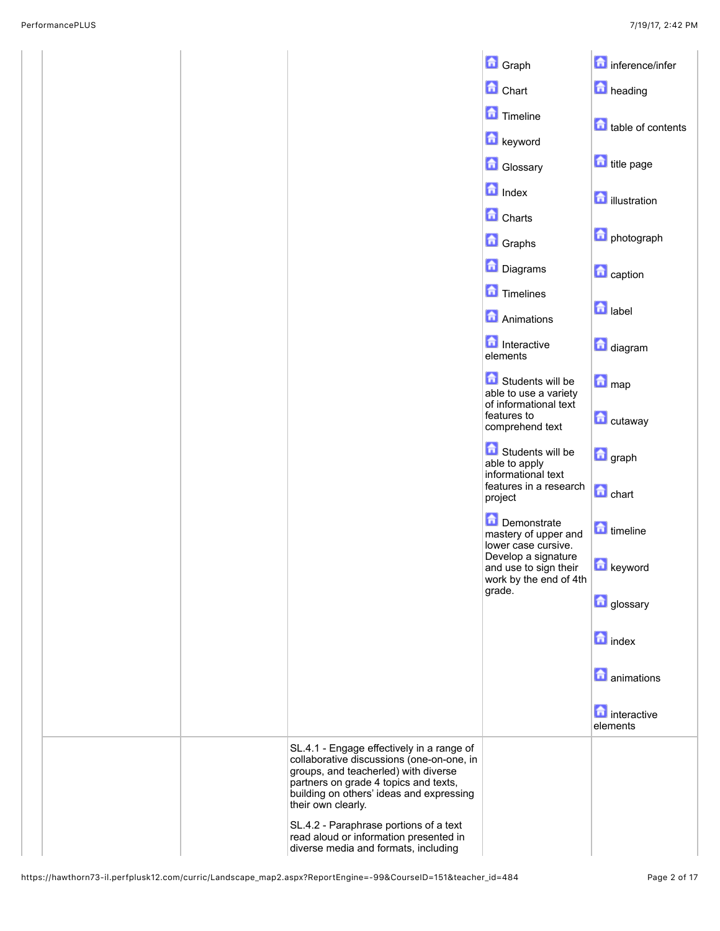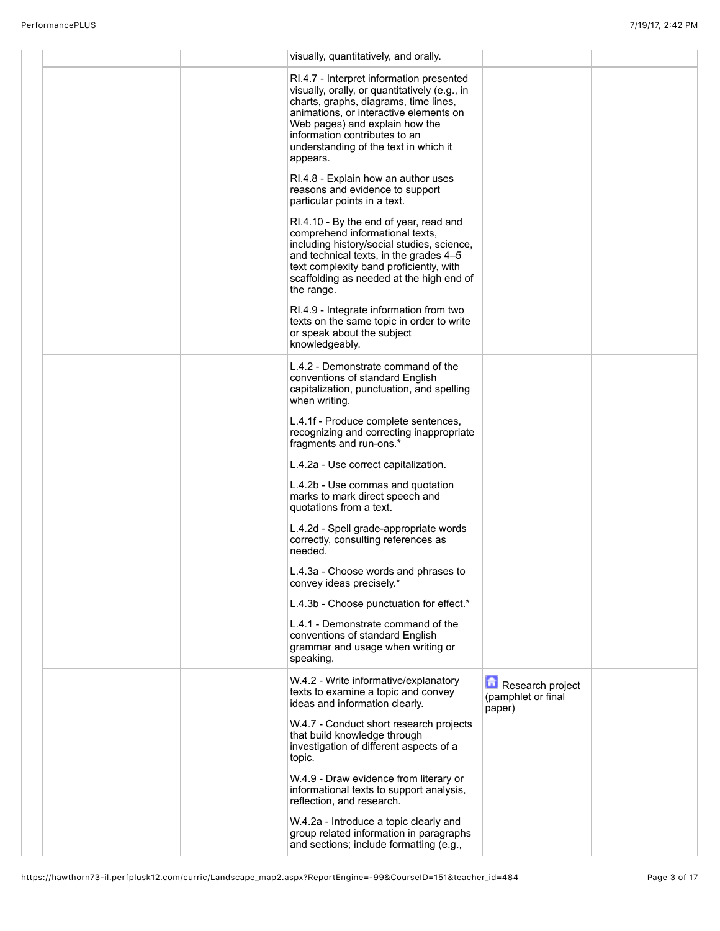| visually, quantitatively, and orally.                                                                                                                                                                                                                                                                |                                                  |  |
|------------------------------------------------------------------------------------------------------------------------------------------------------------------------------------------------------------------------------------------------------------------------------------------------------|--------------------------------------------------|--|
| RI.4.7 - Interpret information presented<br>visually, orally, or quantitatively (e.g., in<br>charts, graphs, diagrams, time lines,<br>animations, or interactive elements on<br>Web pages) and explain how the<br>information contributes to an<br>understanding of the text in which it<br>appears. |                                                  |  |
| RI.4.8 - Explain how an author uses<br>reasons and evidence to support<br>particular points in a text.                                                                                                                                                                                               |                                                  |  |
| RI.4.10 - By the end of year, read and<br>comprehend informational texts,<br>including history/social studies, science,<br>and technical texts, in the grades 4-5<br>text complexity band proficiently, with<br>scaffolding as needed at the high end of<br>the range.                               |                                                  |  |
| RI.4.9 - Integrate information from two<br>texts on the same topic in order to write<br>or speak about the subject<br>knowledgeably.                                                                                                                                                                 |                                                  |  |
| L.4.2 - Demonstrate command of the<br>conventions of standard English<br>capitalization, punctuation, and spelling<br>when writing.                                                                                                                                                                  |                                                  |  |
| L.4.1f - Produce complete sentences,<br>recognizing and correcting inappropriate<br>fragments and run-ons.*                                                                                                                                                                                          |                                                  |  |
| L.4.2a - Use correct capitalization.                                                                                                                                                                                                                                                                 |                                                  |  |
| L.4.2b - Use commas and quotation<br>marks to mark direct speech and<br>quotations from a text.                                                                                                                                                                                                      |                                                  |  |
| L.4.2d - Spell grade-appropriate words<br>correctly, consulting references as<br>needed.                                                                                                                                                                                                             |                                                  |  |
| L.4.3a - Choose words and phrases to<br>convey ideas precisely.*                                                                                                                                                                                                                                     |                                                  |  |
| L.4.3b - Choose punctuation for effect.*                                                                                                                                                                                                                                                             |                                                  |  |
| L.4.1 - Demonstrate command of the<br>conventions of standard English<br>grammar and usage when writing or<br>speaking.                                                                                                                                                                              |                                                  |  |
| W.4.2 - Write informative/explanatory<br>texts to examine a topic and convey<br>ideas and information clearly.                                                                                                                                                                                       | Research project<br>(pamphlet or final<br>paper) |  |
| W.4.7 - Conduct short research projects<br>that build knowledge through<br>investigation of different aspects of a<br>topic.                                                                                                                                                                         |                                                  |  |
| W.4.9 - Draw evidence from literary or<br>informational texts to support analysis,<br>reflection, and research.                                                                                                                                                                                      |                                                  |  |
| W.4.2a - Introduce a topic clearly and<br>group related information in paragraphs<br>and sections; include formatting (e.g.,                                                                                                                                                                         |                                                  |  |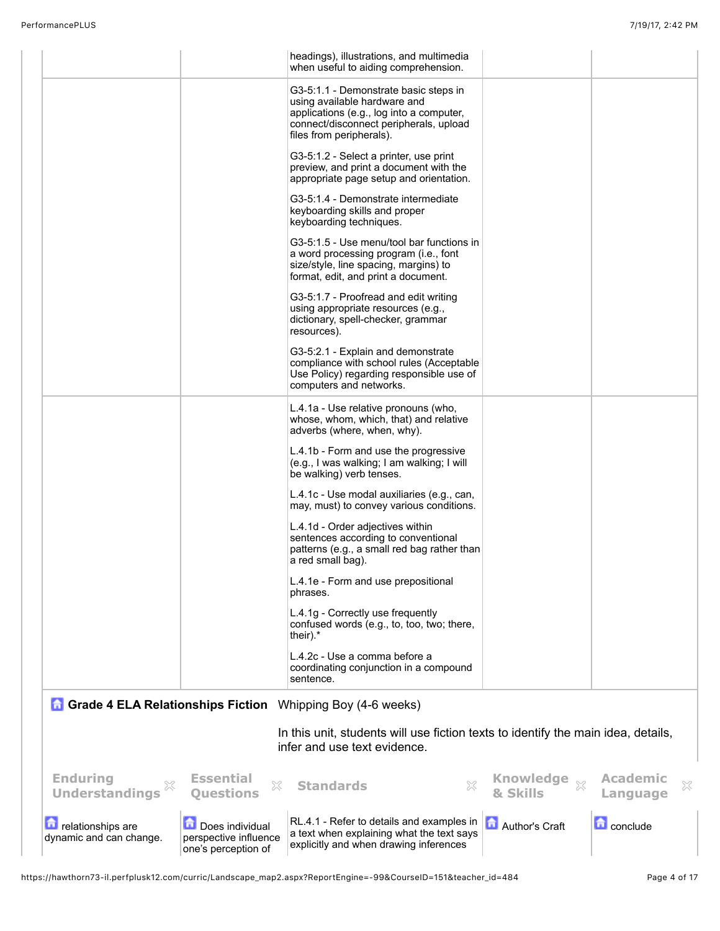|                                              |                                                                 | headings), illustrations, and multimedia<br>when useful to aiding comprehension.                                                                                                        |                                        |                                  |
|----------------------------------------------|-----------------------------------------------------------------|-----------------------------------------------------------------------------------------------------------------------------------------------------------------------------------------|----------------------------------------|----------------------------------|
|                                              |                                                                 | G3-5:1.1 - Demonstrate basic steps in<br>using available hardware and<br>applications (e.g., log into a computer,<br>connect/disconnect peripherals, upload<br>files from peripherals). |                                        |                                  |
|                                              |                                                                 | G3-5:1.2 - Select a printer, use print<br>preview, and print a document with the<br>appropriate page setup and orientation.                                                             |                                        |                                  |
|                                              |                                                                 | G3-5:1.4 - Demonstrate intermediate<br>keyboarding skills and proper<br>keyboarding techniques.                                                                                         |                                        |                                  |
|                                              |                                                                 | G3-5:1.5 - Use menu/tool bar functions in<br>a word processing program (i.e., font<br>size/style, line spacing, margins) to<br>format, edit, and print a document.                      |                                        |                                  |
|                                              |                                                                 | G3-5:1.7 - Proofread and edit writing<br>using appropriate resources (e.g.,<br>dictionary, spell-checker, grammar<br>resources).                                                        |                                        |                                  |
|                                              |                                                                 | G3-5:2.1 - Explain and demonstrate<br>compliance with school rules (Acceptable<br>Use Policy) regarding responsible use of<br>computers and networks.                                   |                                        |                                  |
|                                              |                                                                 | L.4.1a - Use relative pronouns (who,<br>whose, whom, which, that) and relative<br>adverbs (where, when, why).                                                                           |                                        |                                  |
|                                              |                                                                 | L.4.1b - Form and use the progressive<br>(e.g., I was walking; I am walking; I will<br>be walking) verb tenses.                                                                         |                                        |                                  |
|                                              |                                                                 | L.4.1c - Use modal auxiliaries (e.g., can,<br>may, must) to convey various conditions.                                                                                                  |                                        |                                  |
|                                              |                                                                 | L.4.1d - Order adjectives within<br>sentences according to conventional<br>patterns (e.g., a small red bag rather than<br>a red small bag).                                             |                                        |                                  |
|                                              |                                                                 | L.4.1e - Form and use prepositional<br>phrases.                                                                                                                                         |                                        |                                  |
|                                              |                                                                 | L.4.1g - Correctly use frequently<br>confused words (e.g., to, too, two; there,<br>their).*                                                                                             |                                        |                                  |
|                                              |                                                                 | L.4.2c - Use a comma before a<br>coordinating conjunction in a compound<br>sentence.                                                                                                    |                                        |                                  |
|                                              |                                                                 | <b>Grade 4 ELA Relationships Fiction</b> Whipping Boy (4-6 weeks)                                                                                                                       |                                        |                                  |
|                                              |                                                                 | In this unit, students will use fiction texts to identify the main idea, details,<br>infer and use text evidence.                                                                       |                                        |                                  |
| <b>Enduring</b><br><b>Understandings</b>     | <b>Essential</b><br>X<br><b>Questions</b>                       | <b>Standards</b>                                                                                                                                                                        | <b>Knowledge</b><br>$\chi$<br>& Skills | <b>Academic</b><br>X<br>Language |
| relationships are<br>dynamic and can change. | Does individual<br>perspective influence<br>one's perception of | RL.4.1 - Refer to details and examples in<br>a text when explaining what the text says<br>explicitly and when drawing inferences                                                        | Author's Craft                         | <b>C</b> conclude                |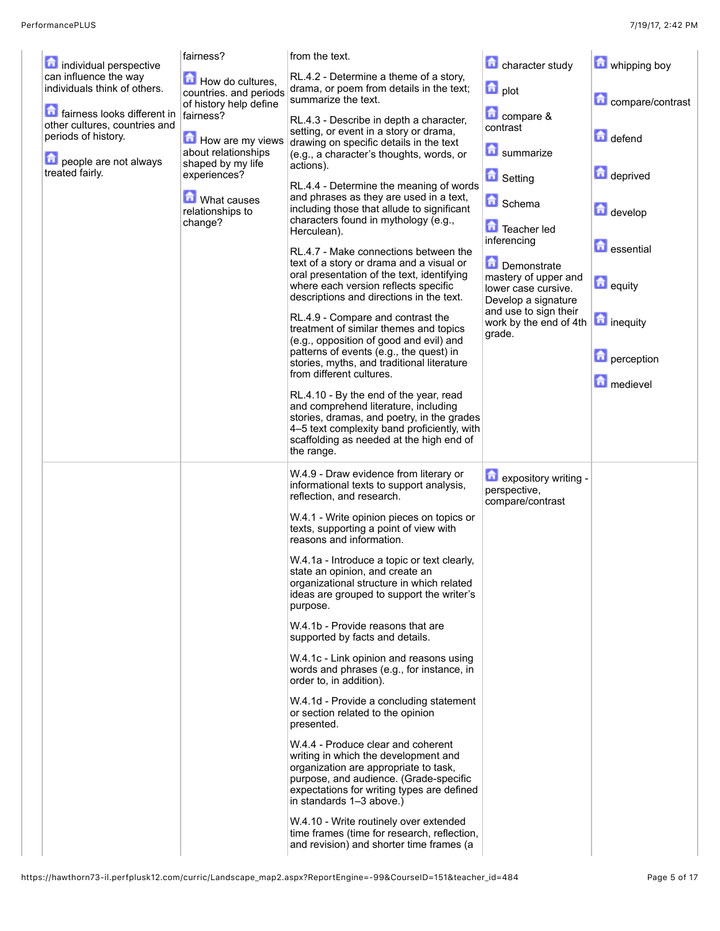|                                                                                     | fairness?                                            | from the text.                                                                                                                                                                                                                          | character study                                                     | whipping boy                    |
|-------------------------------------------------------------------------------------|------------------------------------------------------|-----------------------------------------------------------------------------------------------------------------------------------------------------------------------------------------------------------------------------------------|---------------------------------------------------------------------|---------------------------------|
| individual perspective<br>can influence the way                                     | How do cultures,                                     | RL.4.2 - Determine a theme of a story,                                                                                                                                                                                                  |                                                                     |                                 |
| individuals think of others.                                                        | countries. and periods<br>of history help define     | drama, or poem from details in the text;<br>summarize the text.                                                                                                                                                                         | <b>D</b> plot                                                       | compare/contrast                |
| fairness looks different in<br>other cultures, countries and<br>periods of history. | fairness?<br>How are my views<br>about relationships | RL.4.3 - Describe in depth a character,<br>setting, or event in a story or drama,<br>drawing on specific details in the text<br>(e.g., a character's thoughts, words, or                                                                | compare &<br>contrast<br>侖<br>summarize                             | defend                          |
| people are not always<br>treated fairly.                                            | shaped by my life<br>experiences?                    | actions).                                                                                                                                                                                                                               | <b>D</b> Setting                                                    | deprived                        |
|                                                                                     | What causes<br>relationships to<br>change?           | RL.4.4 - Determine the meaning of words<br>and phrases as they are used in a text,<br>including those that allude to significant<br>characters found in mythology (e.g.,<br>Herculean).                                                 | <b>R</b> Schema<br>Teacher led<br>inferencing                       | develop                         |
|                                                                                     |                                                      | RL.4.7 - Make connections between the<br>text of a story or drama and a visual or<br>oral presentation of the text, identifying                                                                                                         | Demonstrate<br>mastery of upper and                                 | <b>D</b> essential              |
|                                                                                     |                                                      | where each version reflects specific<br>descriptions and directions in the text.                                                                                                                                                        | lower case cursive.<br>Develop a signature<br>and use to sign their | <b>n</b> equity                 |
|                                                                                     |                                                      | RL.4.9 - Compare and contrast the<br>treatment of similar themes and topics<br>(e.g., opposition of good and evil) and<br>patterns of events (e.g., the quest) in                                                                       | work by the end of 4th<br>grade.                                    | <b>n</b> inequity               |
|                                                                                     |                                                      | stories, myths, and traditional literature<br>from different cultures.                                                                                                                                                                  |                                                                     | <b>n</b> perception<br>medievel |
|                                                                                     |                                                      | RL.4.10 - By the end of the year, read<br>and comprehend literature, including<br>stories, dramas, and poetry, in the grades<br>4-5 text complexity band proficiently, with<br>scaffolding as needed at the high end of<br>the range.   |                                                                     |                                 |
|                                                                                     |                                                      | W.4.9 - Draw evidence from literary or<br>informational texts to support analysis,<br>reflection, and research.                                                                                                                         | 盒<br>expository writing -<br>perspective,<br>compare/contrast       |                                 |
|                                                                                     |                                                      | W.4.1 - Write opinion pieces on topics or<br>texts, supporting a point of view with<br>reasons and information.                                                                                                                         |                                                                     |                                 |
|                                                                                     |                                                      | W.4.1a - Introduce a topic or text clearly,<br>state an opinion, and create an<br>organizational structure in which related<br>ideas are grouped to support the writer's<br>purpose.                                                    |                                                                     |                                 |
|                                                                                     |                                                      | W.4.1b - Provide reasons that are<br>supported by facts and details.                                                                                                                                                                    |                                                                     |                                 |
|                                                                                     |                                                      | W.4.1c - Link opinion and reasons using<br>words and phrases (e.g., for instance, in<br>order to, in addition).                                                                                                                         |                                                                     |                                 |
|                                                                                     |                                                      | W.4.1d - Provide a concluding statement<br>or section related to the opinion<br>presented.                                                                                                                                              |                                                                     |                                 |
|                                                                                     |                                                      | W.4.4 - Produce clear and coherent<br>writing in which the development and<br>organization are appropriate to task,<br>purpose, and audience. (Grade-specific<br>expectations for writing types are defined<br>in standards 1-3 above.) |                                                                     |                                 |
|                                                                                     |                                                      | W.4.10 - Write routinely over extended<br>time frames (time for research, reflection,<br>and revision) and shorter time frames (a                                                                                                       |                                                                     |                                 |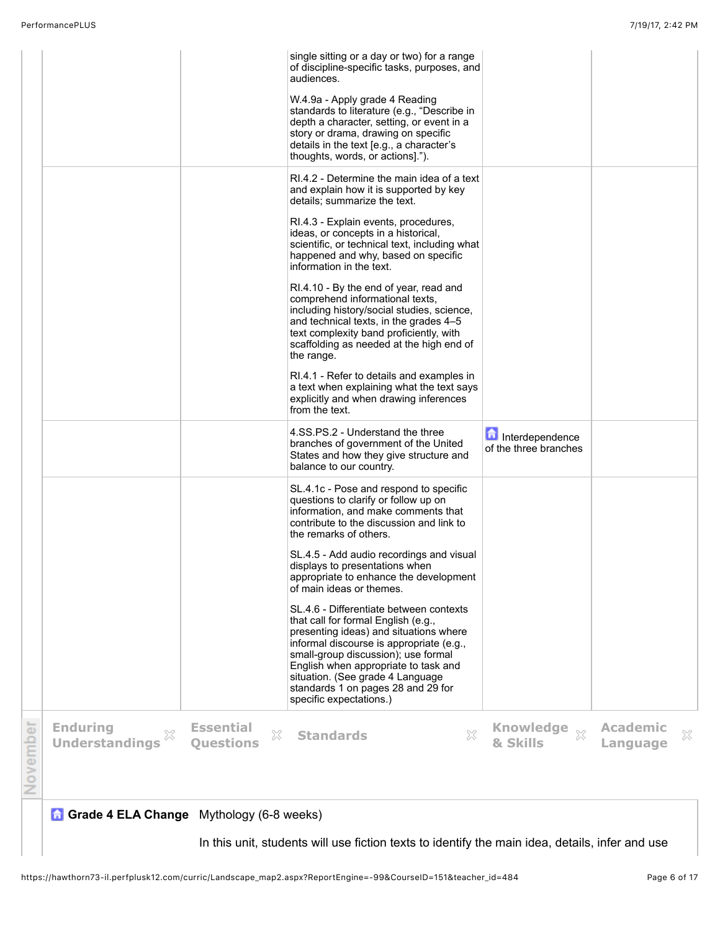|                                                 |                                           | single sitting or a day or two) for a range                                                                                                                                                                                                                                                                                                              |                                          |                                  |
|-------------------------------------------------|-------------------------------------------|----------------------------------------------------------------------------------------------------------------------------------------------------------------------------------------------------------------------------------------------------------------------------------------------------------------------------------------------------------|------------------------------------------|----------------------------------|
|                                                 |                                           | of discipline-specific tasks, purposes, and<br>audiences.                                                                                                                                                                                                                                                                                                |                                          |                                  |
|                                                 |                                           | W.4.9a - Apply grade 4 Reading<br>standards to literature (e.g., "Describe in<br>depth a character, setting, or event in a<br>story or drama, drawing on specific<br>details in the text [e.g., a character's<br>thoughts, words, or actions].").                                                                                                        |                                          |                                  |
|                                                 |                                           | RI.4.2 - Determine the main idea of a text<br>and explain how it is supported by key<br>details: summarize the text.                                                                                                                                                                                                                                     |                                          |                                  |
|                                                 |                                           | RI.4.3 - Explain events, procedures,<br>ideas, or concepts in a historical,<br>scientific, or technical text, including what<br>happened and why, based on specific<br>information in the text.                                                                                                                                                          |                                          |                                  |
|                                                 |                                           | RI.4.10 - By the end of year, read and<br>comprehend informational texts,<br>including history/social studies, science,<br>and technical texts, in the grades 4-5<br>text complexity band proficiently, with<br>scaffolding as needed at the high end of<br>the range.                                                                                   |                                          |                                  |
|                                                 |                                           | RI.4.1 - Refer to details and examples in<br>a text when explaining what the text says<br>explicitly and when drawing inferences<br>from the text.                                                                                                                                                                                                       |                                          |                                  |
|                                                 |                                           | 4.SS.PS.2 - Understand the three<br>branches of government of the United<br>States and how they give structure and<br>balance to our country.                                                                                                                                                                                                            | Interdependence<br>of the three branches |                                  |
|                                                 |                                           | SL.4.1c - Pose and respond to specific<br>questions to clarify or follow up on<br>information, and make comments that<br>contribute to the discussion and link to<br>the remarks of others.                                                                                                                                                              |                                          |                                  |
|                                                 |                                           | SL.4.5 - Add audio recordings and visual<br>displays to presentations when<br>appropriate to enhance the development<br>of main ideas or themes.                                                                                                                                                                                                         |                                          |                                  |
|                                                 |                                           | SL.4.6 - Differentiate between contexts<br>that call for formal English (e.g.,<br>presenting ideas) and situations where<br>informal discourse is appropriate (e.g.,<br>small-group discussion); use formal<br>English when appropriate to task and<br>situation. (See grade 4 Language<br>standards 1 on pages 28 and 29 for<br>specific expectations.) |                                          |                                  |
| <b>Enduring</b><br>×<br><b>Understandings</b>   | <b>Essential</b><br>X<br><b>Ouestions</b> | 53<br><b>Standards</b>                                                                                                                                                                                                                                                                                                                                   | Knowledge xx<br>& Skills                 | <b>Academic</b><br>×<br>Language |
| <b>Grade 4 ELA Change</b> Mythology (6-8 weeks) |                                           |                                                                                                                                                                                                                                                                                                                                                          |                                          |                                  |

In this unit, students will use fiction texts to identify the main idea, details, infer and use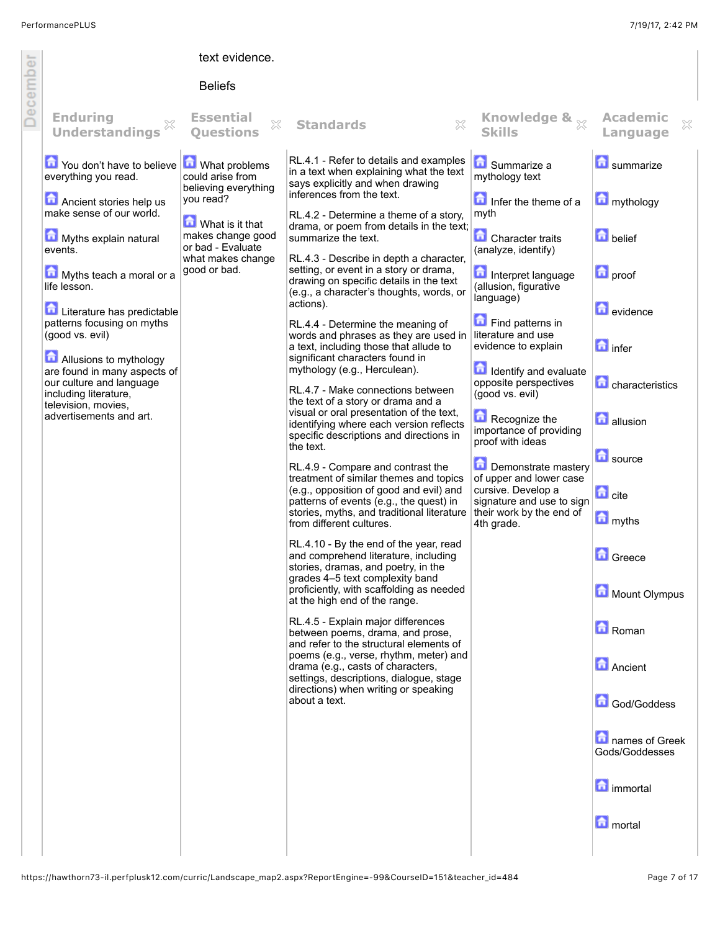f

|       |                                                                                                                                                                                                                                                                                                                                                                                                                                          | text evidence.                                                                                                                                                           |                                                                                                                                                                                                                                                                                                                                                                                                                                                                                                                                                                                                                                                                                                                                                                                                                                                                                                                                                                                                                                                                                                                                                                                                                                                                                                                                                                                                                                                                                                                                                                                                                                                                               |                                                                                                                                                                                                                                                                                                                                                                                                                                                                                                                                            |                                                                                                                                                                                                                                                                                                         |
|-------|------------------------------------------------------------------------------------------------------------------------------------------------------------------------------------------------------------------------------------------------------------------------------------------------------------------------------------------------------------------------------------------------------------------------------------------|--------------------------------------------------------------------------------------------------------------------------------------------------------------------------|-------------------------------------------------------------------------------------------------------------------------------------------------------------------------------------------------------------------------------------------------------------------------------------------------------------------------------------------------------------------------------------------------------------------------------------------------------------------------------------------------------------------------------------------------------------------------------------------------------------------------------------------------------------------------------------------------------------------------------------------------------------------------------------------------------------------------------------------------------------------------------------------------------------------------------------------------------------------------------------------------------------------------------------------------------------------------------------------------------------------------------------------------------------------------------------------------------------------------------------------------------------------------------------------------------------------------------------------------------------------------------------------------------------------------------------------------------------------------------------------------------------------------------------------------------------------------------------------------------------------------------------------------------------------------------|--------------------------------------------------------------------------------------------------------------------------------------------------------------------------------------------------------------------------------------------------------------------------------------------------------------------------------------------------------------------------------------------------------------------------------------------------------------------------------------------------------------------------------------------|---------------------------------------------------------------------------------------------------------------------------------------------------------------------------------------------------------------------------------------------------------------------------------------------------------|
|       |                                                                                                                                                                                                                                                                                                                                                                                                                                          | <b>Beliefs</b>                                                                                                                                                           |                                                                                                                                                                                                                                                                                                                                                                                                                                                                                                                                                                                                                                                                                                                                                                                                                                                                                                                                                                                                                                                                                                                                                                                                                                                                                                                                                                                                                                                                                                                                                                                                                                                                               |                                                                                                                                                                                                                                                                                                                                                                                                                                                                                                                                            |                                                                                                                                                                                                                                                                                                         |
|       | <b>Enduring</b><br><b>Understandings</b>                                                                                                                                                                                                                                                                                                                                                                                                 | <b>Essential</b><br>X<br><b>Ouestions</b>                                                                                                                                | 83<br><b>Standards</b>                                                                                                                                                                                                                                                                                                                                                                                                                                                                                                                                                                                                                                                                                                                                                                                                                                                                                                                                                                                                                                                                                                                                                                                                                                                                                                                                                                                                                                                                                                                                                                                                                                                        | Knowledge & x<br><b>Skills</b>                                                                                                                                                                                                                                                                                                                                                                                                                                                                                                             | <b>Academic</b><br>X<br>Language                                                                                                                                                                                                                                                                        |
| Decem | You don't have to believe<br>everything you read.<br>Ancient stories help us<br>make sense of our world.<br>Myths explain natural<br>events.<br>Myths teach a moral or a<br>life lesson.<br>Literature has predictable<br>patterns focusing on myths<br>(good vs. evil)<br>Allusions to mythology<br>are found in many aspects of<br>our culture and language<br>including literature,<br>television, movies,<br>advertisements and art. | What problems<br>could arise from<br>believing everything<br>you read?<br>What is it that<br>makes change good<br>or bad - Evaluate<br>what makes change<br>good or bad. | RL.4.1 - Refer to details and examples<br>in a text when explaining what the text<br>says explicitly and when drawing<br>inferences from the text.<br>RL.4.2 - Determine a theme of a story,<br>drama, or poem from details in the text;<br>summarize the text.<br>RL.4.3 - Describe in depth a character,<br>setting, or event in a story or drama,<br>drawing on specific details in the text<br>(e.g., a character's thoughts, words, or<br>actions).<br>RL.4.4 - Determine the meaning of<br>words and phrases as they are used in<br>a text, including those that allude to<br>significant characters found in<br>mythology (e.g., Herculean).<br>RL.4.7 - Make connections between<br>the text of a story or drama and a<br>visual or oral presentation of the text,<br>identifying where each version reflects<br>specific descriptions and directions in<br>the text.<br>RL.4.9 - Compare and contrast the<br>treatment of similar themes and topics<br>(e.g., opposition of good and evil) and<br>patterns of events (e.g., the quest) in<br>stories, myths, and traditional literature<br>from different cultures.<br>RL.4.10 - By the end of the year, read<br>and comprehend literature, including<br>stories, dramas, and poetry, in the<br>grades 4–5 text complexity band<br>proficiently, with scaffolding as needed<br>at the high end of the range.<br>RL.4.5 - Explain major differences<br>between poems, drama, and prose,<br>and refer to the structural elements of<br>poems (e.g., verse, rhythm, meter) and<br>drama (e.g., casts of characters,<br>settings, descriptions, dialogue, stage<br>directions) when writing or speaking<br>about a text. | Summarize a<br>mythology text<br>Infer the theme of a<br>myth<br><b>Character traits</b><br>(analyze, identify)<br>Interpret language<br>(allusion, figurative<br>language)<br>Find patterns in<br>literature and use<br>evidence to explain<br><b>In Identify and evaluate</b><br>opposite perspectives<br>(good vs. evil)<br>Recognize the<br>importance of providing<br>proof with ideas<br>Demonstrate mastery<br>of upper and lower case<br>cursive. Develop a<br>signature and use to sign<br>their work by the end of<br>4th grade. | <b>D</b> summarize<br>mythology<br>$\blacksquare$ belief<br><b>n</b> proof<br><b>D</b> evidence<br>$\Box$ infer<br>characteristics<br><b>allusion</b><br><b>D</b> source<br><b>d</b> cite<br>myths<br><b>Greece</b><br>Mount Olympus<br><b>Roman</b><br><b>Ancient</b><br>God/Goddess<br>mames of Greek |
|       |                                                                                                                                                                                                                                                                                                                                                                                                                                          |                                                                                                                                                                          |                                                                                                                                                                                                                                                                                                                                                                                                                                                                                                                                                                                                                                                                                                                                                                                                                                                                                                                                                                                                                                                                                                                                                                                                                                                                                                                                                                                                                                                                                                                                                                                                                                                                               |                                                                                                                                                                                                                                                                                                                                                                                                                                                                                                                                            | Gods/Goddesses<br><b>n</b> immortal<br><b>n</b> ortal                                                                                                                                                                                                                                                   |
|       |                                                                                                                                                                                                                                                                                                                                                                                                                                          |                                                                                                                                                                          |                                                                                                                                                                                                                                                                                                                                                                                                                                                                                                                                                                                                                                                                                                                                                                                                                                                                                                                                                                                                                                                                                                                                                                                                                                                                                                                                                                                                                                                                                                                                                                                                                                                                               |                                                                                                                                                                                                                                                                                                                                                                                                                                                                                                                                            |                                                                                                                                                                                                                                                                                                         |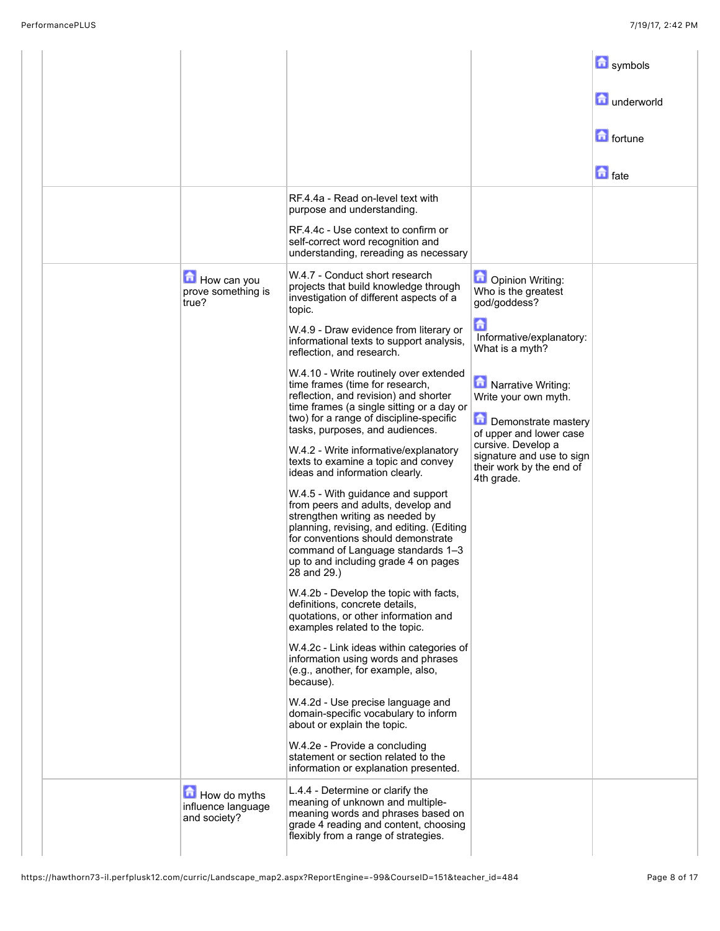|  |                                                    |                                                                                                                                                                                                                                                                                                                                                                                                                                                                                                                                                                                                                                                                                                                                                                                                                                                                                                                                                                                                                                                                                                                                                                                                                                                                                                                                                                                                                                          |                                                                                                                                                                                                                                                                                                          | <b>n</b> symbols<br>underworld<br><b>n</b> fortune |
|--|----------------------------------------------------|------------------------------------------------------------------------------------------------------------------------------------------------------------------------------------------------------------------------------------------------------------------------------------------------------------------------------------------------------------------------------------------------------------------------------------------------------------------------------------------------------------------------------------------------------------------------------------------------------------------------------------------------------------------------------------------------------------------------------------------------------------------------------------------------------------------------------------------------------------------------------------------------------------------------------------------------------------------------------------------------------------------------------------------------------------------------------------------------------------------------------------------------------------------------------------------------------------------------------------------------------------------------------------------------------------------------------------------------------------------------------------------------------------------------------------------|----------------------------------------------------------------------------------------------------------------------------------------------------------------------------------------------------------------------------------------------------------------------------------------------------------|----------------------------------------------------|
|  |                                                    | RF.4.4a - Read on-level text with<br>purpose and understanding.<br>RF.4.4c - Use context to confirm or<br>self-correct word recognition and<br>understanding, rereading as necessary                                                                                                                                                                                                                                                                                                                                                                                                                                                                                                                                                                                                                                                                                                                                                                                                                                                                                                                                                                                                                                                                                                                                                                                                                                                     |                                                                                                                                                                                                                                                                                                          | $\Box$ fate                                        |
|  | How can you<br>prove something is<br>true?         | W.4.7 - Conduct short research<br>projects that build knowledge through<br>investigation of different aspects of a<br>topic.<br>W.4.9 - Draw evidence from literary or<br>informational texts to support analysis,<br>reflection, and research.<br>W.4.10 - Write routinely over extended<br>time frames (time for research,<br>reflection, and revision) and shorter<br>time frames (a single sitting or a day or<br>two) for a range of discipline-specific<br>tasks, purposes, and audiences.<br>W.4.2 - Write informative/explanatory<br>texts to examine a topic and convey<br>ideas and information clearly.<br>W.4.5 - With guidance and support<br>from peers and adults, develop and<br>strengthen writing as needed by<br>planning, revising, and editing. (Editing<br>for conventions should demonstrate<br>command of Language standards 1-3<br>up to and including grade 4 on pages<br>28 and 29.)<br>W.4.2b - Develop the topic with facts,<br>definitions, concrete details,<br>quotations, or other information and<br>examples related to the topic.<br>W.4.2c - Link ideas within categories of<br>information using words and phrases<br>(e.g., another, for example, also,<br>because).<br>W.4.2d - Use precise language and<br>domain-specific vocabulary to inform<br>about or explain the topic.<br>W.4.2e - Provide a concluding<br>statement or section related to the<br>information or explanation presented. | Opinion Writing:<br>Who is the greatest<br>god/goddess?<br>侖<br>Informative/explanatory:<br>What is a myth?<br>Narrative Writing:<br>Write your own myth.<br>Demonstrate mastery<br>of upper and lower case<br>cursive. Develop a<br>signature and use to sign<br>their work by the end of<br>4th grade. |                                                    |
|  | How do myths<br>influence language<br>and society? | L.4.4 - Determine or clarify the<br>meaning of unknown and multiple-<br>meaning words and phrases based on<br>grade 4 reading and content, choosing<br>flexibly from a range of strategies.                                                                                                                                                                                                                                                                                                                                                                                                                                                                                                                                                                                                                                                                                                                                                                                                                                                                                                                                                                                                                                                                                                                                                                                                                                              |                                                                                                                                                                                                                                                                                                          |                                                    |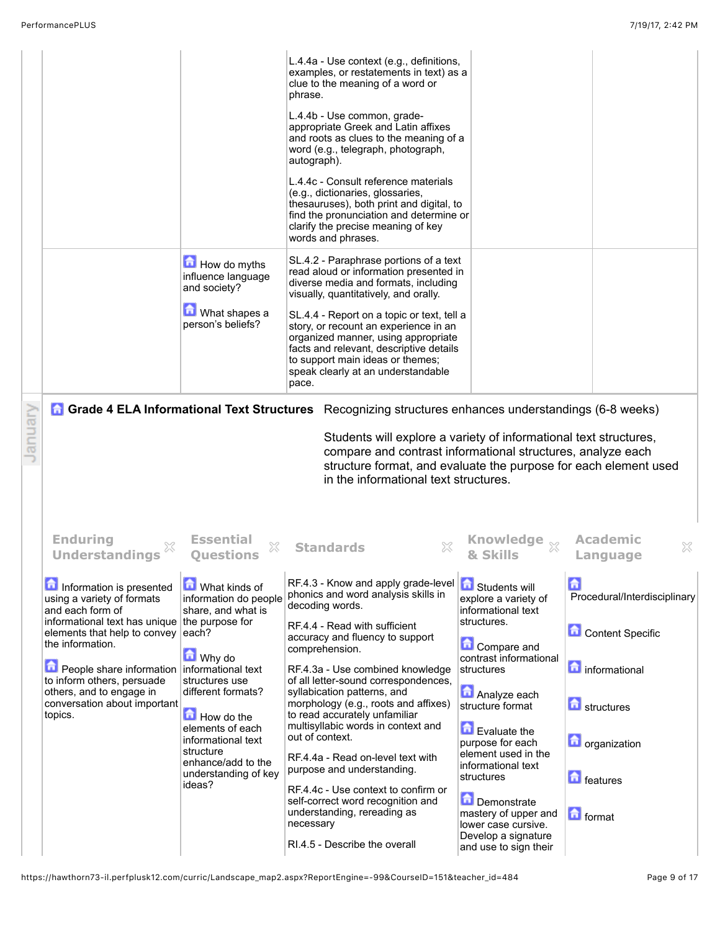| nuar |                                                                                                                                                                                                                                                                                                                                                                                       | How do myths<br>influence language<br>and society?<br>What shapes a<br>person's beliefs?                                                                                                                                                                                                                   | L.4.4a - Use context (e.g., definitions,<br>examples, or restatements in text) as a<br>clue to the meaning of a word or<br>phrase.<br>L.4.4b - Use common, grade-<br>appropriate Greek and Latin affixes<br>and roots as clues to the meaning of a<br>word (e.g., telegraph, photograph,<br>autograph).<br>L.4.4c - Consult reference materials<br>(e.g., dictionaries, glossaries,<br>thesauruses), both print and digital, to<br>find the pronunciation and determine or<br>clarify the precise meaning of key<br>words and phrases.<br>SL.4.2 - Paraphrase portions of a text<br>read aloud or information presented in<br>diverse media and formats, including<br>visually, quantitatively, and orally.<br>SL.4.4 - Report on a topic or text, tell a<br>story, or recount an experience in an<br>organized manner, using appropriate<br>facts and relevant, descriptive details<br>to support main ideas or themes;<br>speak clearly at an understandable<br>pace.<br>Grade 4 ELA Informational Text Structures Recognizing structures enhances understandings (6-8 weeks)<br>Students will explore a variety of informational text structures,<br>compare and contrast informational structures, analyze each<br>structure format, and evaluate the purpose for each element used<br>in the informational text structures. |                                                                                                                                                                                                                                                                                                                                                                                                                        |                                                                                                                                                                                                           |
|------|---------------------------------------------------------------------------------------------------------------------------------------------------------------------------------------------------------------------------------------------------------------------------------------------------------------------------------------------------------------------------------------|------------------------------------------------------------------------------------------------------------------------------------------------------------------------------------------------------------------------------------------------------------------------------------------------------------|----------------------------------------------------------------------------------------------------------------------------------------------------------------------------------------------------------------------------------------------------------------------------------------------------------------------------------------------------------------------------------------------------------------------------------------------------------------------------------------------------------------------------------------------------------------------------------------------------------------------------------------------------------------------------------------------------------------------------------------------------------------------------------------------------------------------------------------------------------------------------------------------------------------------------------------------------------------------------------------------------------------------------------------------------------------------------------------------------------------------------------------------------------------------------------------------------------------------------------------------------------------------------------------------------------------------------------|------------------------------------------------------------------------------------------------------------------------------------------------------------------------------------------------------------------------------------------------------------------------------------------------------------------------------------------------------------------------------------------------------------------------|-----------------------------------------------------------------------------------------------------------------------------------------------------------------------------------------------------------|
|      | <b>Enduring</b><br><b>Understandings</b><br>Information is presented<br>using a variety of formats<br>and each form of<br>informational text has unique the purpose for<br>elements that help to convey each?<br>the information.<br>People share information informational text<br>to inform others, persuade<br>others, and to engage in<br>conversation about important<br>topics. | <b>Essential</b><br>X<br><b>Ouestions</b><br><b>M</b> What kinds of<br>information do people<br>share, and what is<br><b>M</b> Why do<br>structures use<br>different formats?<br>How do the<br>elements of each<br>informational text<br>structure<br>enhance/add to the<br>understanding of key<br>ideas? | <b>Standards</b><br>RF.4.3 - Know and apply grade-level<br>phonics and word analysis skills in<br>decoding words.<br>RF.4.4 - Read with sufficient<br>accuracy and fluency to support<br>comprehension.<br>RF.4.3a - Use combined knowledge<br>of all letter-sound correspondences,<br>syllabication patterns, and<br>morphology (e.g., roots and affixes)<br>to read accurately unfamiliar<br>multisyllabic words in context and<br>out of context.<br>RF.4.4a - Read on-level text with<br>purpose and understanding.<br>RF.4.4c - Use context to confirm or<br>self-correct word recognition and<br>understanding, rereading as<br>necessary<br>RI.4.5 - Describe the overall                                                                                                                                                                                                                                                                                                                                                                                                                                                                                                                                                                                                                                                 | Knowledge $_{\chi\!\chi}$<br>Students will<br>explore a variety of<br>informational text<br>structures.<br><b>Compare and</b><br>contrast informational<br>structures<br>Analyze each<br>structure format<br>Evaluate the<br>purpose for each<br>element used in the<br>informational text<br>structures<br>Demonstrate<br>mastery of upper and<br>lower case cursive.<br>Develop a signature<br>and use to sign their | <b>Academic</b><br>X<br>Language<br>命<br>Procedural/Interdisciplinary<br><b>Content Specific</b><br>informational<br><b>d</b> structures<br><b>n</b> organization<br><b>n</b> features<br><b>n</b> format |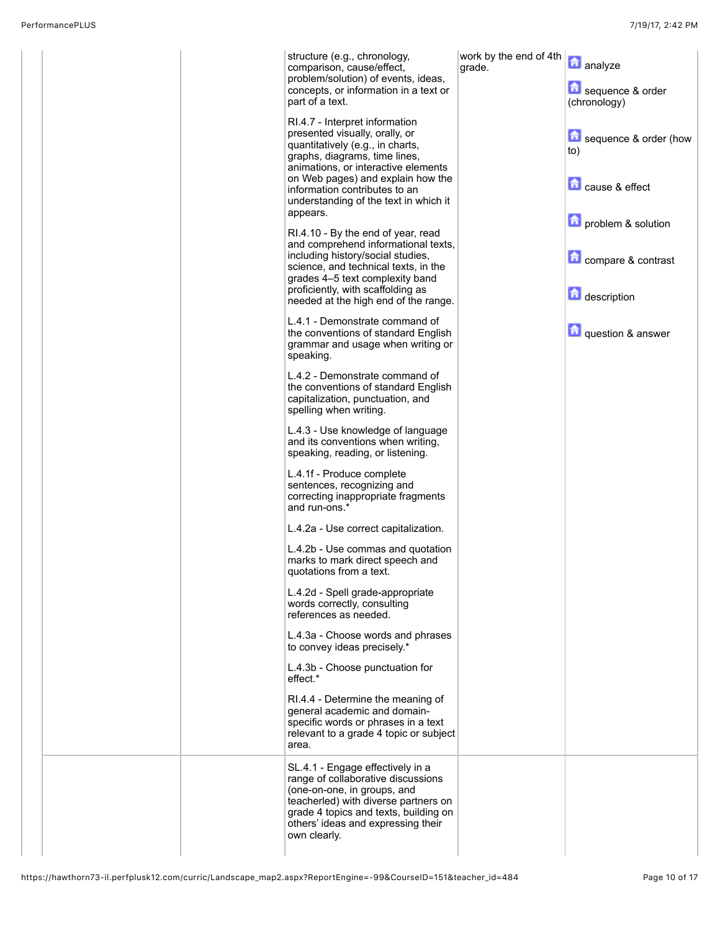| part of a text. | structure (e.g., chronology,<br>comparison, cause/effect,<br>problem/solution) of events, ideas,<br>concepts, or information in a text or                                                                                    | work by the end of 4th<br>grade. | analyze<br>sequence & order<br>(chronology) |
|-----------------|------------------------------------------------------------------------------------------------------------------------------------------------------------------------------------------------------------------------------|----------------------------------|---------------------------------------------|
|                 | RI.4.7 - Interpret information<br>presented visually, orally, or<br>quantitatively (e.g., in charts,<br>graphs, diagrams, time lines,<br>animations, or interactive elements                                                 |                                  | sequence & order (how<br>to)                |
| appears.        | on Web pages) and explain how the<br>information contributes to an<br>understanding of the text in which it                                                                                                                  |                                  | cause & effect<br>problem & solution        |
|                 | RI.4.10 - By the end of year, read<br>and comprehend informational texts,<br>including history/social studies,<br>science, and technical texts, in the<br>grades 4–5 text complexity band                                    |                                  | compare & contrast                          |
|                 | proficiently, with scaffolding as<br>needed at the high end of the range.                                                                                                                                                    |                                  | description                                 |
| speaking.       | L.4.1 - Demonstrate command of<br>the conventions of standard English<br>grammar and usage when writing or                                                                                                                   |                                  | question & answer                           |
|                 | L.4.2 - Demonstrate command of<br>the conventions of standard English<br>capitalization, punctuation, and<br>spelling when writing.                                                                                          |                                  |                                             |
|                 | L.4.3 - Use knowledge of language<br>and its conventions when writing,<br>speaking, reading, or listening.                                                                                                                   |                                  |                                             |
| and run-ons.*   | L.4.1f - Produce complete<br>sentences, recognizing and<br>correcting inappropriate fragments                                                                                                                                |                                  |                                             |
|                 | L.4.2a - Use correct capitalization.                                                                                                                                                                                         |                                  |                                             |
|                 | L.4.2b - Use commas and quotation<br>marks to mark direct speech and<br>quotations from a text.                                                                                                                              |                                  |                                             |
|                 | L.4.2d - Spell grade-appropriate<br>words correctly, consulting<br>references as needed.                                                                                                                                     |                                  |                                             |
|                 | L.4.3a - Choose words and phrases<br>to convey ideas precisely.*                                                                                                                                                             |                                  |                                             |
| effect.*        | L.4.3b - Choose punctuation for                                                                                                                                                                                              |                                  |                                             |
| area.           | RI.4.4 - Determine the meaning of<br>general academic and domain-<br>specific words or phrases in a text<br>relevant to a grade 4 topic or subject                                                                           |                                  |                                             |
| own clearly.    | SL.4.1 - Engage effectively in a<br>range of collaborative discussions<br>(one-on-one, in groups, and<br>teacherled) with diverse partners on<br>grade 4 topics and texts, building on<br>others' ideas and expressing their |                                  |                                             |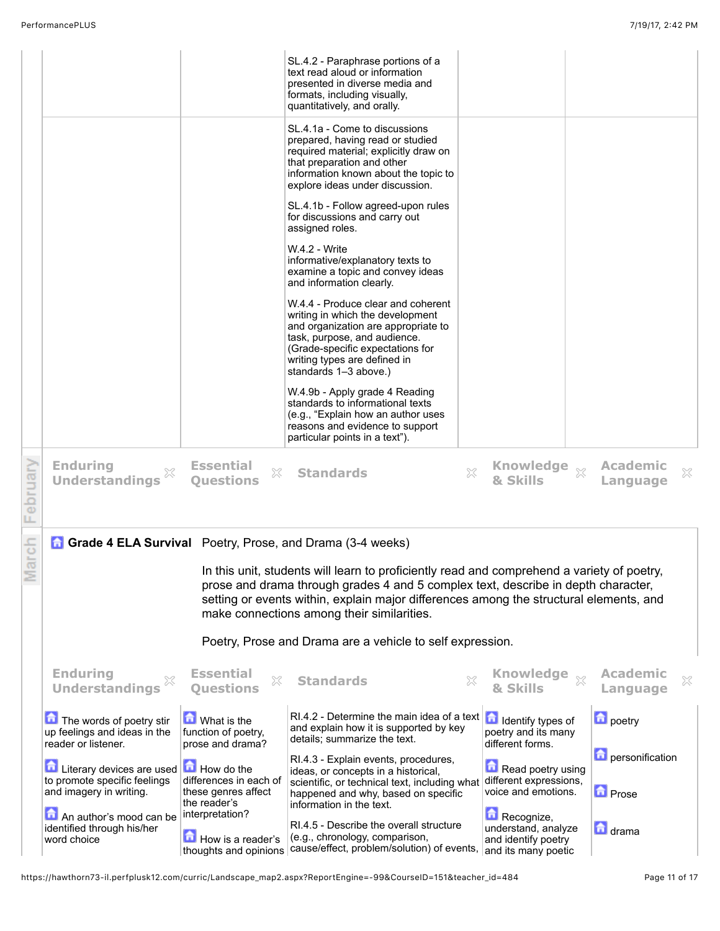|              |                                                                                      |                                                                             | SL.4.2 - Paraphrase portions of a<br>text read aloud or information<br>presented in diverse media and<br>formats, including visually,<br>quantitatively, and orally.                                                                                                                                                    |   |                                                                                 |        |                                   |   |
|--------------|--------------------------------------------------------------------------------------|-----------------------------------------------------------------------------|-------------------------------------------------------------------------------------------------------------------------------------------------------------------------------------------------------------------------------------------------------------------------------------------------------------------------|---|---------------------------------------------------------------------------------|--------|-----------------------------------|---|
|              |                                                                                      |                                                                             | SL.4.1a - Come to discussions<br>prepared, having read or studied<br>required material; explicitly draw on<br>that preparation and other<br>information known about the topic to<br>explore ideas under discussion.                                                                                                     |   |                                                                                 |        |                                   |   |
|              |                                                                                      |                                                                             | SL.4.1b - Follow agreed-upon rules<br>for discussions and carry out<br>assigned roles.                                                                                                                                                                                                                                  |   |                                                                                 |        |                                   |   |
|              |                                                                                      |                                                                             | W.4.2 - Write<br>informative/explanatory texts to<br>examine a topic and convey ideas<br>and information clearly.                                                                                                                                                                                                       |   |                                                                                 |        |                                   |   |
|              |                                                                                      |                                                                             | W.4.4 - Produce clear and coherent<br>writing in which the development<br>and organization are appropriate to<br>task, purpose, and audience.<br>(Grade-specific expectations for<br>writing types are defined in<br>standards 1-3 above.)                                                                              |   |                                                                                 |        |                                   |   |
|              |                                                                                      |                                                                             | W.4.9b - Apply grade 4 Reading<br>standards to informational texts<br>(e.g., "Explain how an author uses<br>reasons and evidence to support<br>particular points in a text").                                                                                                                                           |   |                                                                                 |        |                                   |   |
| ebruary<br>щ | <b>Enduring</b><br>×<br><b>Understandings</b>                                        | <b>Essential</b><br>X<br><b>Questions</b>                                   | <b>Standards</b>                                                                                                                                                                                                                                                                                                        | X | Knowledge xx<br>& Skills                                                        |        | <b>Academic</b><br>Language       | X |
|              | <b>Grade 4 ELA Survival</b> Poetry, Prose, and Drama (3-4 weeks)                     |                                                                             |                                                                                                                                                                                                                                                                                                                         |   |                                                                                 |        |                                   |   |
| arch         |                                                                                      |                                                                             | In this unit, students will learn to proficiently read and comprehend a variety of poetry,<br>prose and drama through grades 4 and 5 complex text, describe in depth character,<br>setting or events within, explain major differences among the structural elements, and<br>make connections among their similarities. |   |                                                                                 |        |                                   |   |
|              |                                                                                      |                                                                             | Poetry, Prose and Drama are a vehicle to self expression.                                                                                                                                                                                                                                                               |   |                                                                                 |        |                                   |   |
|              | <b>Enduring</b><br><b>Understandings</b>                                             | <b>Essential</b><br>X<br><b>Ouestions</b>                                   | <b>Standards</b>                                                                                                                                                                                                                                                                                                        |   | <b>Knowledge</b><br>& Skills                                                    | $\chi$ | <b>Academic</b><br>Language       | × |
|              | The words of poetry stir<br>up feelings and ideas in the<br>reader or listener.      | What is the<br>function of poetry,<br>prose and drama?                      | RI.4.2 - Determine the main idea of a text $\left  \bullet \right $ Identify types of<br>and explain how it is supported by key<br>details; summarize the text.                                                                                                                                                         |   | poetry and its many<br>different forms.                                         |        | <b>D</b> poetry                   |   |
|              | Literary devices are used<br>to promote specific feelings<br>and imagery in writing. | How do the<br>differences in each of<br>these genres affect<br>the reader's | RI.4.3 - Explain events, procedures,<br>ideas, or concepts in a historical,<br>scientific, or technical text, including what<br>happened and why, based on specific                                                                                                                                                     |   | Read poetry using<br>different expressions,<br>voice and emotions.              |        | personification<br><b>D</b> Prose |   |
|              | An author's mood can be<br>identified through his/her<br>word choice                 | interpretation?<br>How is a reader's<br>thoughts and opinions               | information in the text.<br>RI.4.5 - Describe the overall structure<br>(e.g., chronology, comparison,<br>cause/effect, problem/solution) of events,                                                                                                                                                                     |   | Recognize,<br>understand, analyze<br>and identify poetry<br>and its many poetic |        | <b>d</b> drama                    |   |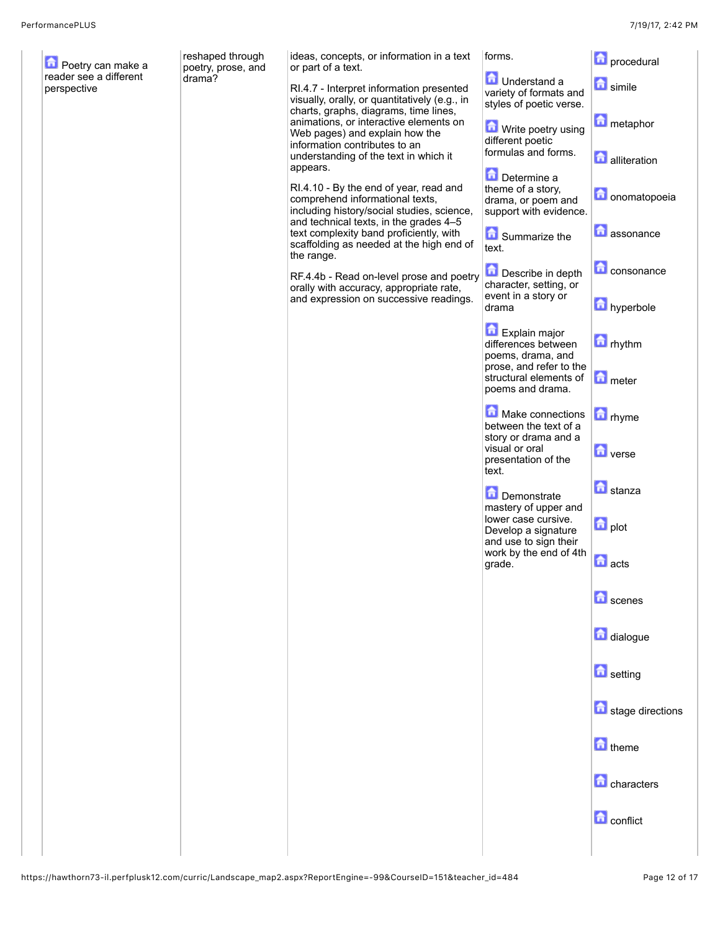| Poetry can make a<br>reader see a different | reshaped through<br>poetry, prose, and | ideas, concepts, or information in a text<br>or part of a text.                                                                                                   | forms.                                                                               | <b>n</b> procedural        |
|---------------------------------------------|----------------------------------------|-------------------------------------------------------------------------------------------------------------------------------------------------------------------|--------------------------------------------------------------------------------------|----------------------------|
| perspective                                 | drama?                                 | RI.4.7 - Interpret information presented<br>visually, orally, or quantitatively (e.g., in<br>charts, graphs, diagrams, time lines,                                | <b>D</b> Understand a<br>variety of formats and<br>styles of poetic verse.           | <b>n</b> simile            |
|                                             |                                        | animations, or interactive elements on<br>Web pages) and explain how the<br>information contributes to an                                                         | Write poetry using<br>different poetic                                               | metaphor                   |
|                                             |                                        | understanding of the text in which it<br>appears.                                                                                                                 | formulas and forms.<br>Determine a                                                   | <b>alliteration</b>        |
|                                             |                                        | RI.4.10 - By the end of year, read and<br>comprehend informational texts,<br>including history/social studies, science,<br>and technical texts, in the grades 4-5 | theme of a story,<br>drama, or poem and<br>support with evidence.                    | <b>n</b> onomatopoeia      |
|                                             |                                        | text complexity band proficiently, with<br>scaffolding as needed at the high end of<br>the range.                                                                 | Summarize the<br>text.                                                               | <b>n</b> assonance         |
|                                             |                                        | RF.4.4b - Read on-level prose and poetry<br>orally with accuracy, appropriate rate,<br>and expression on successive readings.                                     | Describe in depth<br>character, setting, or<br>event in a story or                   | <b>C</b> consonance        |
|                                             |                                        |                                                                                                                                                                   | drama                                                                                | hyperbole                  |
|                                             |                                        |                                                                                                                                                                   | Explain major<br>differences between<br>poems, drama, and<br>prose, and refer to the | $\boxed{\triangle}$ rhythm |
|                                             |                                        |                                                                                                                                                                   | structural elements of<br>poems and drama.                                           | meter                      |
|                                             |                                        |                                                                                                                                                                   | Make connections<br>between the text of a<br>story or drama and a                    | <b>n</b> rhyme             |
|                                             |                                        |                                                                                                                                                                   | visual or oral<br>presentation of the<br>text.                                       | <b>D</b> verse             |
|                                             |                                        |                                                                                                                                                                   | Demonstrate<br>mastery of upper and                                                  | <b>n</b> stanza            |
|                                             |                                        |                                                                                                                                                                   | lower case cursive.<br>Develop a signature<br>and use to sign their                  | $\blacksquare$ plot        |
|                                             |                                        |                                                                                                                                                                   | work by the end of 4th<br>grade.                                                     | <b>n</b> acts              |
|                                             |                                        |                                                                                                                                                                   |                                                                                      | <b>n</b> scenes            |
|                                             |                                        |                                                                                                                                                                   |                                                                                      | dialogue                   |
|                                             |                                        |                                                                                                                                                                   |                                                                                      | <b>n</b> setting           |
|                                             |                                        |                                                                                                                                                                   |                                                                                      | stage directions           |
|                                             |                                        |                                                                                                                                                                   |                                                                                      | $\blacksquare$ theme       |
|                                             |                                        |                                                                                                                                                                   |                                                                                      | <b>n</b> characters        |
|                                             |                                        |                                                                                                                                                                   |                                                                                      | <b>n</b> conflict          |
|                                             |                                        |                                                                                                                                                                   |                                                                                      |                            |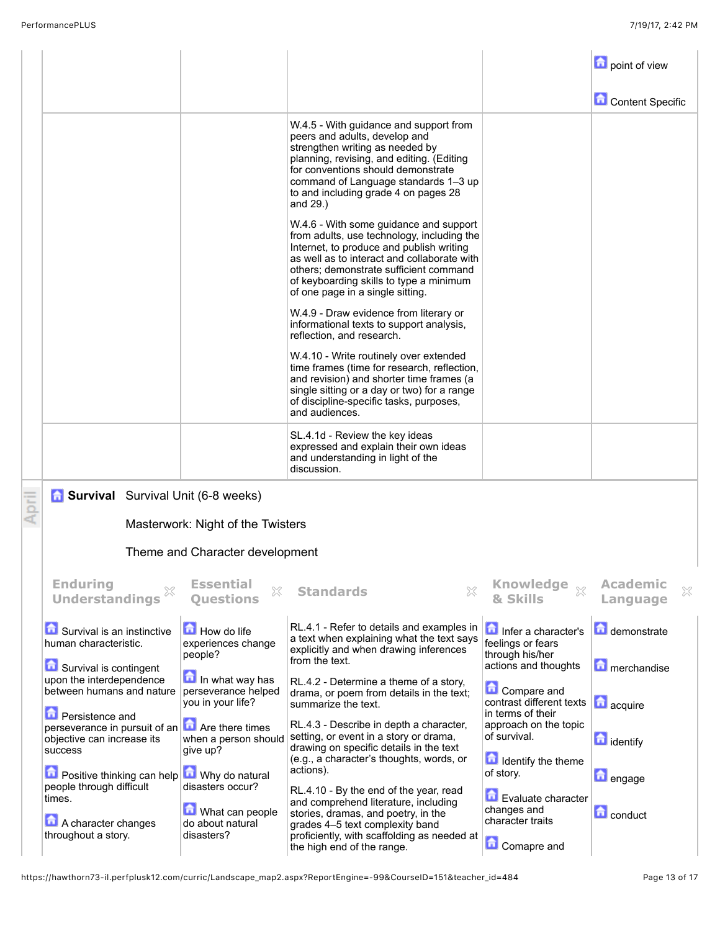|       |                                                                                                                             |                                                                       |                                                                                                                                                                                                                                                                                                          |                                                                        | point of view                               |
|-------|-----------------------------------------------------------------------------------------------------------------------------|-----------------------------------------------------------------------|----------------------------------------------------------------------------------------------------------------------------------------------------------------------------------------------------------------------------------------------------------------------------------------------------------|------------------------------------------------------------------------|---------------------------------------------|
|       |                                                                                                                             |                                                                       |                                                                                                                                                                                                                                                                                                          |                                                                        | <b>Content Specific</b>                     |
|       |                                                                                                                             |                                                                       | W.4.5 - With guidance and support from<br>peers and adults, develop and<br>strengthen writing as needed by<br>planning, revising, and editing. (Editing<br>for conventions should demonstrate<br>command of Language standards 1-3 up<br>to and including grade 4 on pages 28<br>and 29.)                |                                                                        |                                             |
|       |                                                                                                                             |                                                                       | W.4.6 - With some guidance and support<br>from adults, use technology, including the<br>Internet, to produce and publish writing<br>as well as to interact and collaborate with<br>others; demonstrate sufficient command<br>of keyboarding skills to type a minimum<br>of one page in a single sitting. |                                                                        |                                             |
|       |                                                                                                                             |                                                                       | W.4.9 - Draw evidence from literary or<br>informational texts to support analysis,<br>reflection, and research.                                                                                                                                                                                          |                                                                        |                                             |
|       |                                                                                                                             |                                                                       | W.4.10 - Write routinely over extended<br>time frames (time for research, reflection,<br>and revision) and shorter time frames (a<br>single sitting or a day or two) for a range<br>of discipline-specific tasks, purposes,<br>and audiences.                                                            |                                                                        |                                             |
|       |                                                                                                                             |                                                                       | SL.4.1d - Review the key ideas<br>expressed and explain their own ideas<br>and understanding in light of the<br>discussion.                                                                                                                                                                              |                                                                        |                                             |
| April | <b>6</b> Survival Survival Unit (6-8 weeks)                                                                                 |                                                                       |                                                                                                                                                                                                                                                                                                          |                                                                        |                                             |
|       |                                                                                                                             | Masterwork: Night of the Twisters                                     |                                                                                                                                                                                                                                                                                                          |                                                                        |                                             |
|       |                                                                                                                             | Theme and Character development                                       |                                                                                                                                                                                                                                                                                                          |                                                                        |                                             |
|       | <b>Enduring</b><br>X<br><b>Understandings</b>                                                                               | <b>Essential</b><br>X<br><b>Ouestions</b>                             | 53<br><b>Standards</b>                                                                                                                                                                                                                                                                                   | <b>Knowledge</b><br>$\chi$<br>& Skills                                 | <b>Academic</b><br>$\mathbb{X}$<br>Language |
|       | Survival is an instinctive<br>human characteristic.                                                                         | How do life<br>experiences change<br>people?                          | RL.4.1 - Refer to details and examples in<br>a text when explaining what the text says<br>explicitly and when drawing inferences                                                                                                                                                                         | Infer a character's<br>feelings or fears<br>through his/her            | demonstrate                                 |
|       | Survival is contingent<br>upon the interdependence<br>between humans and nature                                             | In what way has<br>perseverance helped<br>you in your life?           | from the text.<br>RL.4.2 - Determine a theme of a story,<br>drama, or poem from details in the text;<br>summarize the text.                                                                                                                                                                              | actions and thoughts<br><b>Compare and</b><br>contrast different texts | merchandise<br><b>d</b> acquire             |
|       | <b>D</b> Persistence and<br>perseverance in pursuit of an <b>n</b> Are there times<br>objective can increase its<br>success | when a person should<br>give up?                                      | RL.4.3 - Describe in depth a character,<br>setting, or event in a story or drama,<br>drawing on specific details in the text                                                                                                                                                                             | in terms of their<br>approach on the topic<br>of survival.             | $\Box$ identify                             |
|       | Positive thinking can help                                                                                                  | Why do natural                                                        | (e.g., a character's thoughts, words, or<br>actions).                                                                                                                                                                                                                                                    | Identify the theme<br>of story.                                        | <b>D</b> engage                             |
|       | people through difficult<br>times.<br>A character changes<br>throughout a story.                                            | disasters occur?<br>What can people<br>do about natural<br>disasters? | RL.4.10 - By the end of the year, read<br>and comprehend literature, including<br>stories, dramas, and poetry, in the<br>grades 4-5 text complexity band<br>proficiently, with scaffolding as needed at                                                                                                  | Evaluate character<br>changes and<br>character traits                  | <b>D</b> conduct                            |
|       |                                                                                                                             |                                                                       | the high end of the range.                                                                                                                                                                                                                                                                               | <b>Comapre and</b>                                                     |                                             |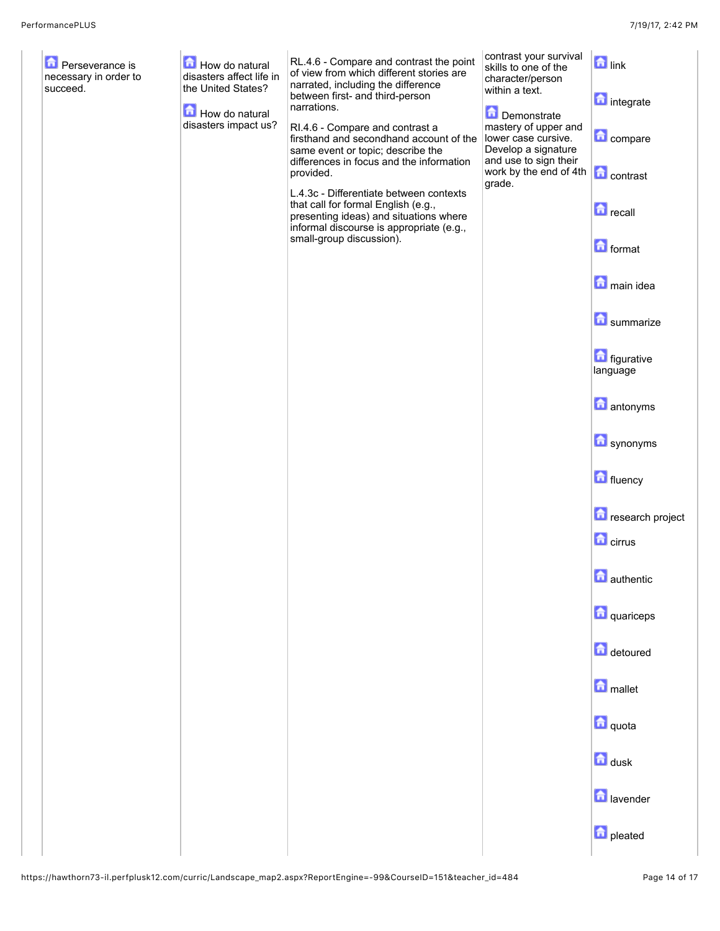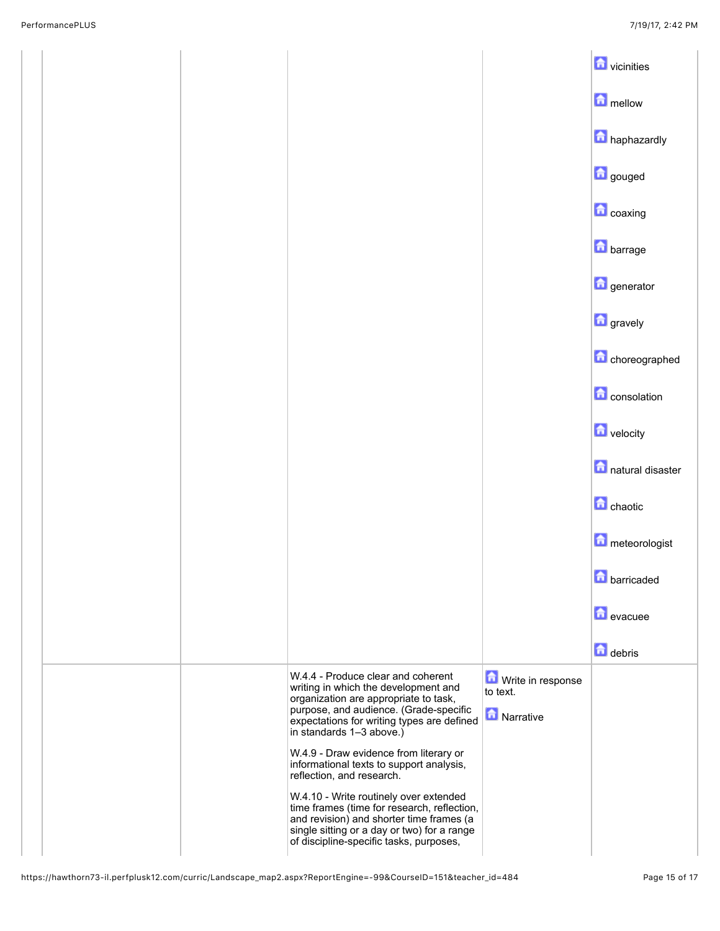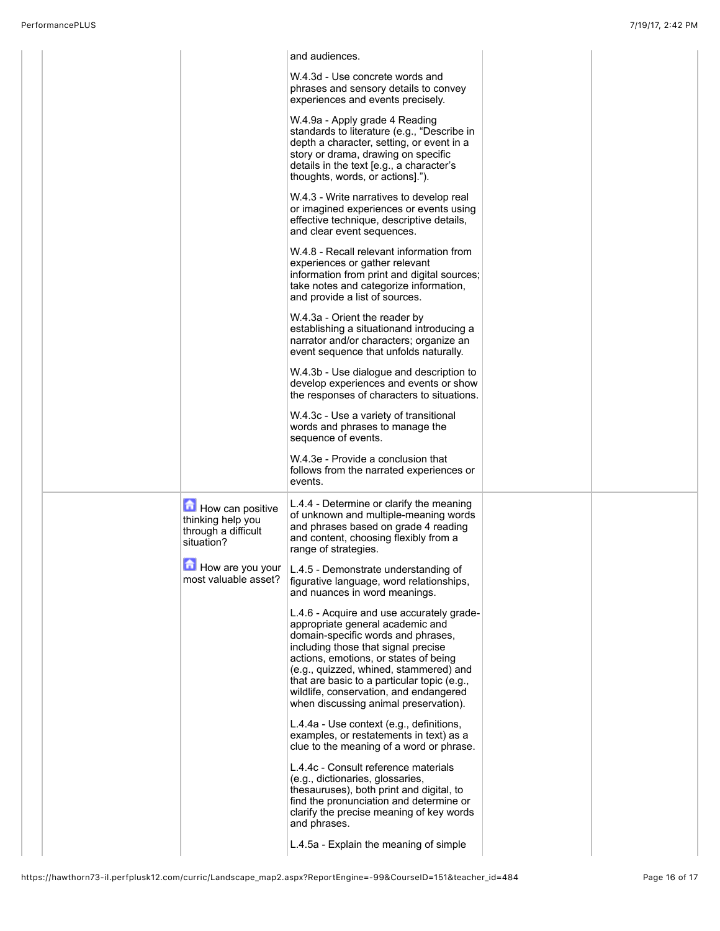|  |                                                                            | and audiences.                                                                                                                                                                                                                                                                                                                                                                  |  |
|--|----------------------------------------------------------------------------|---------------------------------------------------------------------------------------------------------------------------------------------------------------------------------------------------------------------------------------------------------------------------------------------------------------------------------------------------------------------------------|--|
|  |                                                                            | W.4.3d - Use concrete words and<br>phrases and sensory details to convey<br>experiences and events precisely.                                                                                                                                                                                                                                                                   |  |
|  |                                                                            | W.4.9a - Apply grade 4 Reading<br>standards to literature (e.g., "Describe in<br>depth a character, setting, or event in a<br>story or drama, drawing on specific<br>details in the text [e.g., a character's<br>thoughts, words, or actions].").                                                                                                                               |  |
|  |                                                                            | W.4.3 - Write narratives to develop real<br>or imagined experiences or events using<br>effective technique, descriptive details,<br>and clear event sequences.                                                                                                                                                                                                                  |  |
|  |                                                                            | W.4.8 - Recall relevant information from<br>experiences or gather relevant<br>information from print and digital sources;<br>take notes and categorize information,<br>and provide a list of sources.                                                                                                                                                                           |  |
|  |                                                                            | W.4.3a - Orient the reader by<br>establishing a situationand introducing a<br>narrator and/or characters; organize an<br>event sequence that unfolds naturally.                                                                                                                                                                                                                 |  |
|  |                                                                            | W.4.3b - Use dialogue and description to<br>develop experiences and events or show<br>the responses of characters to situations.                                                                                                                                                                                                                                                |  |
|  |                                                                            | W.4.3c - Use a variety of transitional<br>words and phrases to manage the<br>sequence of events.                                                                                                                                                                                                                                                                                |  |
|  |                                                                            | W.4.3e - Provide a conclusion that<br>follows from the narrated experiences or<br>events.                                                                                                                                                                                                                                                                                       |  |
|  | How can positive<br>thinking help you<br>through a difficult<br>situation? | L.4.4 - Determine or clarify the meaning<br>of unknown and multiple-meaning words<br>and phrases based on grade 4 reading<br>and content, choosing flexibly from a<br>range of strategies.                                                                                                                                                                                      |  |
|  | most valuable asset?                                                       | $\Box$ How are you your $ $ L.4.5 - Demonstrate understanding of<br>figurative language, word relationships,<br>and nuances in word meanings.                                                                                                                                                                                                                                   |  |
|  |                                                                            | L.4.6 - Acquire and use accurately grade-<br>appropriate general academic and<br>domain-specific words and phrases,<br>including those that signal precise<br>actions, emotions, or states of being<br>(e.g., quizzed, whined, stammered) and<br>that are basic to a particular topic (e.g.,<br>wildlife, conservation, and endangered<br>when discussing animal preservation). |  |
|  |                                                                            | L.4.4a - Use context (e.g., definitions,<br>examples, or restatements in text) as a<br>clue to the meaning of a word or phrase.                                                                                                                                                                                                                                                 |  |
|  |                                                                            | L.4.4c - Consult reference materials<br>(e.g., dictionaries, glossaries,<br>thesauruses), both print and digital, to<br>find the pronunciation and determine or<br>clarify the precise meaning of key words<br>and phrases.                                                                                                                                                     |  |
|  |                                                                            | L.4.5a - Explain the meaning of simple                                                                                                                                                                                                                                                                                                                                          |  |